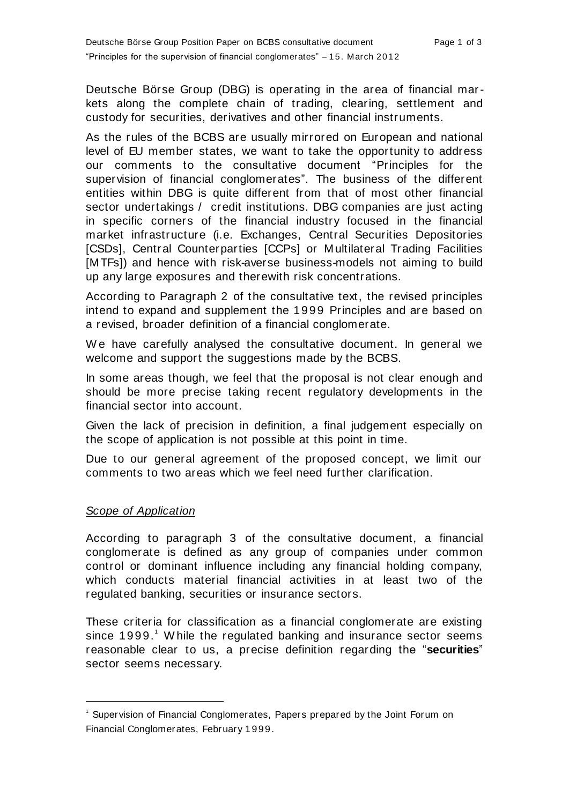Deutsche Börse Group (DBG) is operating in the area of financial markets along the complete chain of trading, clearing, settlement and custody for securities, derivatives and other financial instruments.

As the rules of the BCBS are usually mirrored on European and national level of EU member states, we want to take the opportunity to address our comments to the consultative document "Principles for the supervision of financial conglomerates". The business of the different entities within DBG is quite different from that of most other financial sector undertakings / credit institutions. DBG companies are just acting in specific corners of the financial industry focused in the financial market infrastructure (i.e. Exchanges, Central Securities Depositories [CSDs], Central Counterparties [CCPs] or Multilateral Trading Facilities [MTFs]) and hence with risk-averse business-models not aiming to build up any large exposures and therewith risk concentrations.

According to Paragraph 2 of the consultative text, the revised principles intend to expand and supplement the 1999 Principles and are based on a revised, broader definition of a financial conglomerate.

W e have carefully analysed the consultative document. In general we welcome and support the suggestions made by the BCBS.

In some areas though, we feel that the proposal is not clear enough and should be more precise taking recent regulatory developments in the financial sector into account.

Given the lack of precision in definition, a final judgement especially on the scope of application is not possible at this point in time.

Due to our general agreement of the proposed concept, we limit our comments to two areas which we feel need further clarification.

## *Scope of Application*

l

According to paragraph 3 of the consultative document, a financial conglomerate is defined as any group of companies under common control or dominant influence including any financial holding company, which conducts material financial activities in at least two of the regulated banking, securities or insurance sectors.

These criteria for classification as a financial conglomerate are existing since 1999.<sup>1</sup> W hile the regulated banking and insurance sector seems reasonable clear to us, a precise definition regarding the "**securities**" sector seems necessary.

<sup>&</sup>lt;sup>1</sup> Supervision of Financial Conglomerates, Papers prepared by the Joint Forum on Financial Conglomerates, February 1999.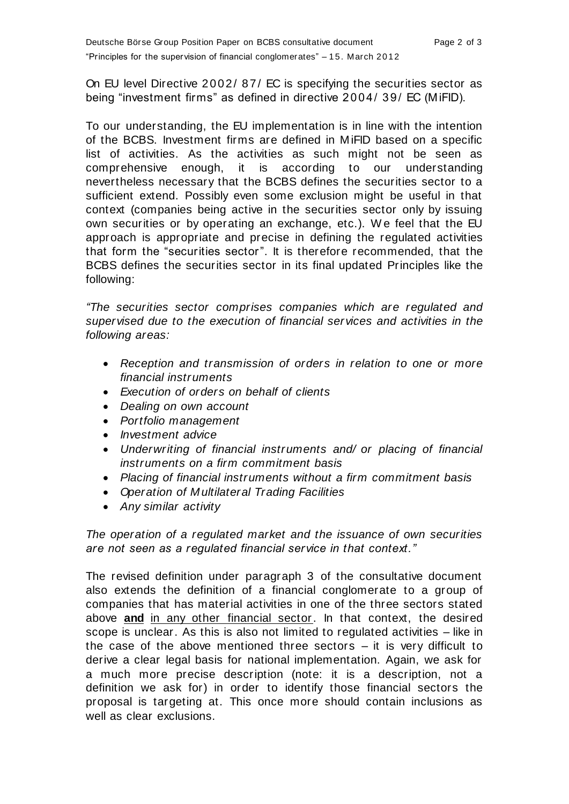On EU level Directive 2002/ 87/ EC is specifying the securities sector as being "investment firms" as defined in directive 2004/ 39/ EC (MiFID).

To our understanding, the EU implementation is in line with the intention of the BCBS. Investment firms are defined in MiFID based on a specific list of activities. As the activities as such might not be seen as comprehensive enough, it is according to our understanding nevertheless necessary that the BCBS defines the securities sector to a sufficient extend. Possibly even some exclusion might be useful in that context (companies being active in the securities sector only by issuing own securities or by operating an exchange, etc.). W e feel that the EU approach is appropriate and precise in defining the regulated activities that form the "securities sector". It is therefore recommended, that the BCBS defines the securities sector in its final updated Principles like the following:

*"The securities sector comprises companies which are regulated and supervised due to the execution of financial services and activities in the following areas:*

- *Reception and transmission of orders in relation to one or more financial instruments*
- *Execution of orders on behalf of clients*
- *Dealing on own account*
- *Portfolio management*
- *Investment advice*
- *Underwriting of financial instruments and/ or placing of financial instruments on a firm commitment basis*
- *Placing of financial instruments without a firm commitment basis*
- *Operation of Multilateral Trading Facilities*
- *Any similar activity*

*The operation of a regulated market and the issuance of own securities are not seen as a regulated financial service in that context."*

The revised definition under paragraph 3 of the consultative document also extends the definition of a financial conglomerate to a group of companies that has material activities in one of the three sectors stated above **and** in any other financial sector. In that context, the desired scope is unclear. As this is also not limited to regulated activities – like in the case of the above mentioned three sectors – it is very difficult to derive a clear legal basis for national implementation. Again, we ask for a much more precise description (note: it is a description, not a definition we ask for) in order to identify those financial sectors the proposal is targeting at. This once more should contain inclusions as well as clear exclusions.